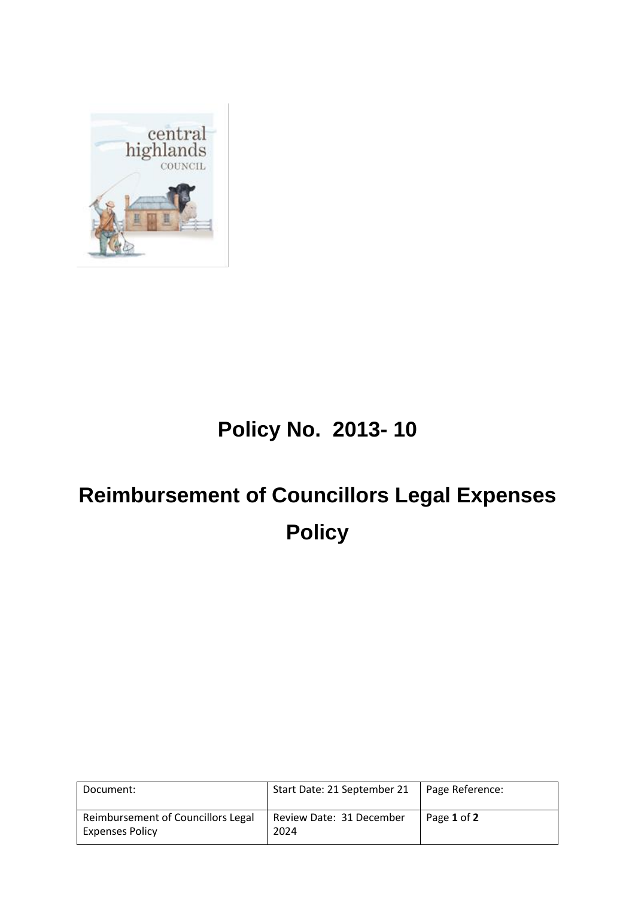

## **Policy No. 2013- 10**

## **Reimbursement of Councillors Legal Expenses Policy**

| Document:                                                    | Start Date: 21 September 21      | Page Reference: |
|--------------------------------------------------------------|----------------------------------|-----------------|
| Reimbursement of Councillors Legal<br><b>Expenses Policy</b> | Review Date: 31 December<br>2024 | Page 1 of 2     |